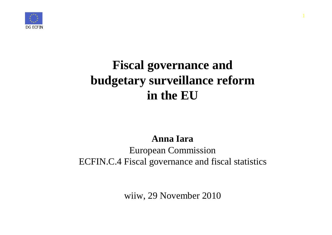

# **Fiscal governance and budgetary surveillance reform in the EU**

#### **Anna Iara**

### European Commission ECFIN.C.4 Fiscal governance and fiscal statistics

wiiw, 29 November 2010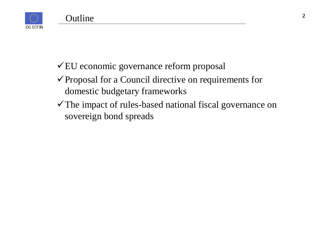

- EU economic governance reform proposal
- $\checkmark$  Proposal for a Council directive on requirements for domestic budgetary frameworks
- The impact of rules-based national fiscal governance on sovereign bond spreads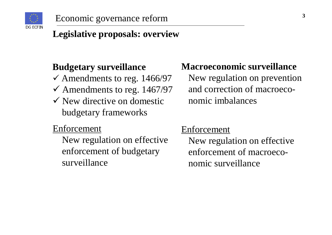

# **Legislative proposals: overview**

#### **Budgetary surveillance**

- Amendments to reg. 1466/97
- Amendments to reg. 1467/97
- $\checkmark$  New directive on domestic budgetary frameworks

### Enforcement

New regulation on effective enforcement of budgetary surveillance

### **Macroeconomic surveillance**

New regulation on prevention and correction of macroeconomic imbalances

#### Enforcement

New regulation on effective enforcement of macroeconomic surveillance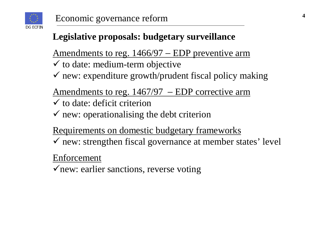

# **Legislative proposals: budgetary surveillance**

Amendments to reg. 1466/97 – EDP preventive arm

- $\checkmark$  to date: medium-term objective
- new: expenditure growth/prudent fiscal policy making

Amendments to reg. 1467/97 − EDP corrective arm

- $\checkmark$  to date: deficit criterion
- $\checkmark$  new: operationalising the debt criterion

Requirements on domestic budgetary frameworks

new: strengthen fiscal governance at member states' level

Enforcement

 $\checkmark$  new: earlier sanctions, reverse voting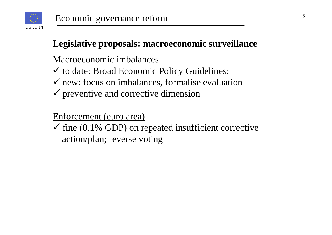

### **Legislative proposals: macroeconomic surveillance**

Macroeconomic imbalances

- to date: Broad Economic Policy Guidelines:
- $\checkmark$  new: focus on imbalances, formalise evaluation
- $\checkmark$  preventive and corrective dimension

### Enforcement (euro area)

 $\checkmark$  fine (0.1% GDP) on repeated insufficient corrective action/plan; reverse voting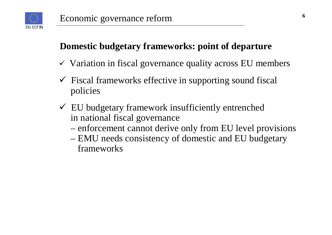

### **Domestic budgetary frameworks: point of departure**

- $\checkmark$  Variation in fiscal governance quality across EU members
- $\checkmark$  Fiscal frameworks effective in supporting sound fiscal policies
- EU budgetary framework insufficiently entrenched in national fiscal governance
	- enforcement cannot derive only from EU level provisions
	- EMU needs consistency of domestic and EU budgetary frameworks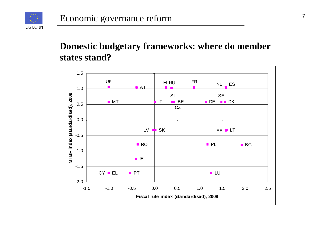

### **Domestic budgetary frameworks: where do member states stand?**

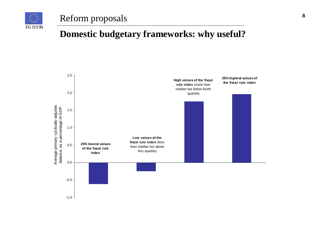

#### Reform proposals

#### **Domestic budgetary frameworks: why useful?**

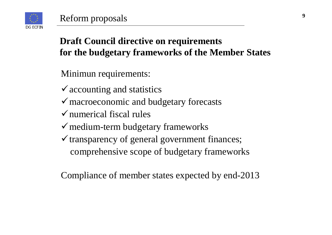

# **Draft Council directive on requirements for the budgetary frameworks of the Member States**

- Minimun requirements:
- $\checkmark$  accounting and statistics
- macroeconomic and budgetary forecasts
- $\checkmark$  numerical fiscal rules
- $\checkmark$  medium-term budgetary frameworks
- $\checkmark$  transparency of general government finances; comprehensive scope of budgetary frameworks

Compliance of member states expected by end-2013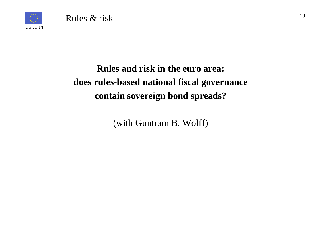

# **Rules and risk in the euro area: does rules-based national fiscal governance contain sovereign bond spreads?**

(with Guntram B. Wolff)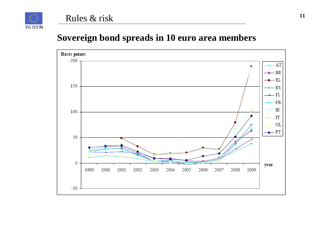

#### **Sovereign bond spreads in 10 euro area members**

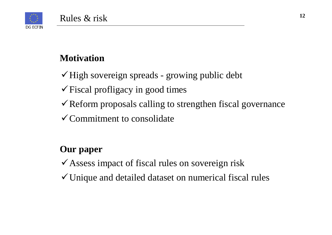

### **Motivation**

 $\checkmark$  High sovereign spreads - growing public debt

- $\checkmark$  Fiscal profligacy in good times
- $\checkmark$  Reform proposals calling to strengthen fiscal governance
- $\checkmark$  Commitment to consolidate

### **Our paper**

- $\checkmark$  Assess impact of fiscal rules on sovereign risk
- $\checkmark$  Unique and detailed dataset on numerical fiscal rules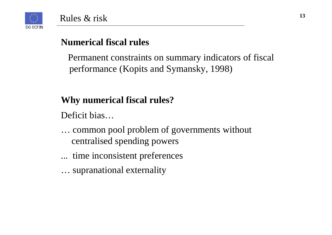

### **Numerical fiscal rules**

Permanent constraints on summary indicators of fiscal performance (Kopits and Symansky, 1998)

### **Why numerical fiscal rules?**

Deficit bias…

- … common pool problem of governments without centralised spending powers
- ... time inconsistent preferences
- … supranational externality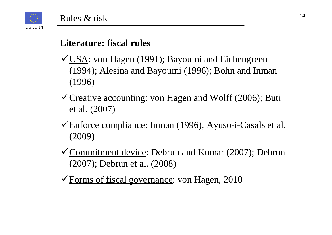

#### **Literature: fiscal rules**

- $\checkmark$  USA: von Hagen (1991); Bayoumi and Eichengreen (1994); Alesina and Bayoumi (1996); Bohn and Inman (1996)
- $\checkmark$  Creative accounting: von Hagen and Wolff (2006); Buti et al. (2007)
- Enforce compliance: Inman (1996); Ayuso-i-Casals et al. (2009)
- $\checkmark$  Commitment device: Debrun and Kumar (2007); Debrun (2007); Debrun et al. (2008)
- $\checkmark$  Forms of fiscal governance: von Hagen, 2010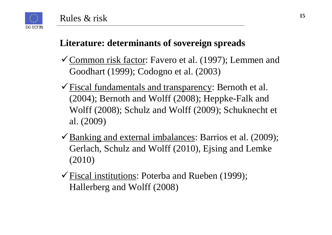#### **Literature: determinants of sovereign spreads**

- Common risk factor: Favero et al. (1997); Lemmen and Goodhart (1999); Codogno et al. (2003)
- Fiscal fundamentals and transparency: Bernoth et al. (2004); Bernoth and Wolff (2008); Heppke-Falk and Wolff (2008); Schulz and Wolff (2009); Schuknecht et al. (2009)
- $\checkmark$  Banking and external imbalances: Barrios et al. (2009); Gerlach, Schulz and Wolff (2010), Ejsing and Lemke (2010)
- $\checkmark$  Fiscal institutions: Poterba and Rueben (1999); Hallerberg and Wolff (2008)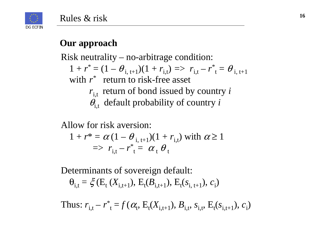

#### **Our approach**

Risk neutrality – no-arbitrage condition:  $1 + r^* = (1 - \theta_{i, t+1})(1 + r_{i, t}) \implies r_{i, t} - r^* = \theta_{i, t+1}$ with  $r^*$  return to risk-free asset

- $r_{i,t}$  return of bond issued by country *i*
- $\theta$ <sub>it</sub> default probability of country *i*

Allow for risk aversion:

$$
1 + r^* = \alpha (1 - \theta_{i, t+1})(1 + r_{i, t})
$$
 with  $\alpha \ge 1$   
\n
$$
\Rightarrow r_{i, t} - r^* = \alpha_t \theta_t
$$

Determinants of sovereign default:

 $\theta_{i} = \xi$  (E<sub>t</sub> (X<sub>it+1</sub>), E<sub>t</sub>(B<sub>it+1</sub>), E<sub>t</sub>(s<sub>it+1</sub>), c<sub>i</sub>)

Thus:  $r_{i,t} - r_{i}^* = f(\alpha_t, E_t(X_{i,t+1}), B_{i,t}, S_{i,t}, E_t(S_{i,t+1}), c_i)$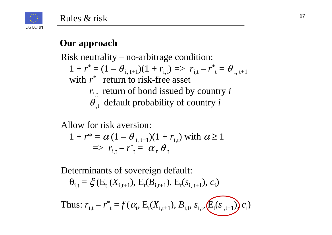



### **Our approach**

Risk neutrality – no-arbitrage condition:

**1**  $w^* = (1, 0)$  $1 + r^* = (1 - \theta_{i, t+1})(1 + r_{i,t}) \implies r_{i,t} - r^* = \theta_{i, t+1}$ with  $r^*$  return to risk-free asset

- $r_{i,t}$  return of bond issued by country *i*
- $\theta$ <sub>it</sub> default probability of country *i*

Allow for risk aversion:

$$
1 + r^* = \alpha (1 - \theta_{i, t+1})(1 + r_{i, t})
$$
 with  $\alpha \ge 1$   
\n
$$
\Rightarrow r_{i, t} - r^* = \alpha_t \theta_t
$$

Determinants of sovereign default:

 $\theta_{i,t} = \xi(E_t (X_{i,t+1}), E_t(B_{i,t+1}), E_t(s_{i,t+1}), c_i)$ 

Thus: 
$$
r_{i,t} - r_{t}^{*} = f(\alpha_{t}, E_{t}(X_{i,t+1}), B_{i,t}, s_{i,t}, E_{t}(s_{i,t+1})) c_{i}
$$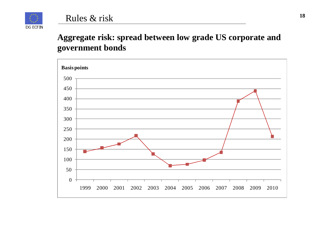

#### **Aggregate risk: spread between low grade US corporate and government bonds**

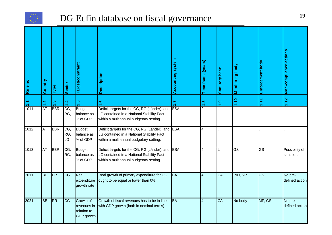

### DG Ecfin database on fiscal governance

| Rule no.       | Country   | Type          | <b>Sector</b>    | <b>Target/constraint</b>                                     | <b>Description</b>                                                                                                                       | <b>Accounting system</b> | Time frame (years) | <b>Statutory base</b> | Monitoring body | Enforcement body       | Non-compliance actions      |
|----------------|-----------|---------------|------------------|--------------------------------------------------------------|------------------------------------------------------------------------------------------------------------------------------------------|--------------------------|--------------------|-----------------------|-----------------|------------------------|-----------------------------|
| $\mathbb{Z}^1$ | 1.2       | $\frac{3}{2}$ | $\frac{4}{1}$    | $\frac{5}{1}$                                                | $\mathbf{e}$                                                                                                                             | 7.1                      | 1.8                | $\frac{9}{1}$         | 1.10            | $\frac{1}{2}$          | 1.12                        |
| 1011           | <b>AT</b> | <b>BBR</b>    | CG,<br>RG,<br>LG | <b>Budget</b><br>balance as<br>% of GDP                      | Deficit targets for the CG, RG (Länder), and ESA<br>LG contained in a National Stability Pact<br>within a multiannual budgetary setting. |                          | $\overline{2}$     |                       |                 |                        |                             |
| 1012           | AT        | <b>BBR</b>    | CG,<br>RG,<br>LG | <b>Budget</b><br>balance as<br>% of GDP                      | Deficit targets for the CG, RG (Länder), and<br>LG contained in a National Stability Pact<br>within a multiannual budgetary setting.     | <b>ESA</b>               | 4                  |                       |                 |                        |                             |
| 1013           | AT        | BBR           | CG,<br>RG,<br>LG | <b>Budget</b><br>balance as<br>% of GDP                      | Deficit targets for the CG, RG (Länder), and<br>LG contained in a National Stability Pact<br>within a multiannual budgetary setting.     | <b>ESA</b>               | $\overline{4}$     |                       | GS              | $\overline{\text{GS}}$ | Possibility of<br>sanctions |
| 2011           | BE        | ER            | CG               | Real<br>expenditure<br>growth rate                           | Real growth of primary expenditure for CG<br>ought to be equal or lower than 0%.                                                         | <b>BA</b>                | $\overline{4}$     | CA                    | IND, NP         | $\overline{\text{GS}}$ | No pre-<br>defined action   |
| 2021           | <b>BE</b> | RR            | CG               | Growth of<br>revenues in<br>relation to<br><b>GDP</b> growth | Growth of fiscal revenues has to be in line<br>with GDP growth (both in nominal terms).                                                  | <b>BA</b>                | $\overline{4}$     | CA                    | No body         | MF, GS                 | No pre-<br>defined action   |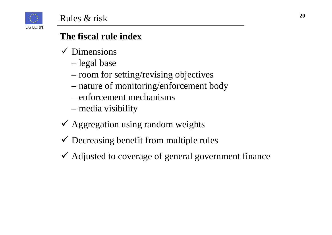

## **The fiscal rule index**

- $\checkmark$  Dimensions
	- legal base
	- room for setting/revising objectives
	- nature of monitoring/enforcement body
	- enforcement mechanisms
	- media visibility
- $\checkmark$  Aggregation using random weights
- Decreasing benefit from multiple rules
- Adjusted to coverage of general government finance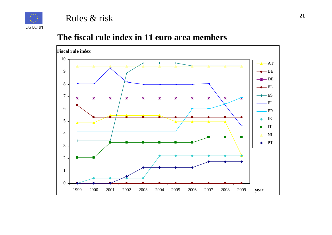

DG ECFIN



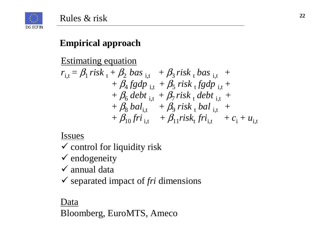

#### **Empirical approach**

Estimating equation

$$
r_{i,t} = \beta_1 \, risk_t + \beta_2 \, bas_{i,t} + \beta_3 \, risk_t \, bas_{i,t} ++ \beta_4 \, fgdp_{i,t} + \beta_5 \, risk_t \, fgdp_{i,t} ++ \beta_6 \, debt_{i,t} + \beta_7 \, risk_t \, debt_{i,t} ++ \beta_8 \, bal_{i,t} + \beta_9 \, risk_t \, bal_{i,t} ++ \beta_{10} \, fri_{i,t} + \beta_{11} \, risk_t \, fri_{i,t} + c_i + u_{i,t}
$$

Issues

- control for liquidity risk
- $\checkmark$  endogeneity
- $\checkmark$  annual data
- separated impact of *fri* dimensions

Data Bloomberg, EuroMTS, Ameco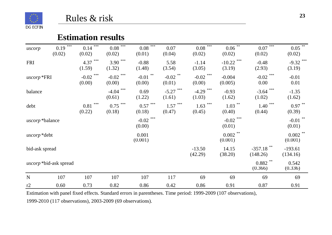

#### **Estimation results**

| uscorp              | $***$<br>0.19<br>(0.02)       | $***$<br>0.14<br>(0.02)  | $0.08$ <sup>***</sup><br>(0.02) | $***$<br>0.08<br>(0.01) | 0.07<br>(0.04)           | $0.08$ <sup>***</sup><br>(0.02) | $0.06$ <sup>**</sup><br>(0.02) | $***$<br>0.07<br>(0.02)  | $0.05$ <sup>**</sup><br>(0.02) |
|---------------------|-------------------------------|--------------------------|---------------------------------|-------------------------|--------------------------|---------------------------------|--------------------------------|--------------------------|--------------------------------|
| <b>FRI</b>          |                               | ***<br>4.37<br>(1.59)    | ***<br>3.90<br>(1.32)           | $-0.88$<br>(1.48)       | 5.58<br>(3.54)           | $-1.14$<br>(3.05)               | ***<br>$-10.22$<br>(3.19)      | $-0.48$<br>(2.93)        | $-9.32$ ***<br>(3.19)          |
| uscorp *FRI         |                               | ***<br>$-0.02$<br>(0.00) | ***<br>$-0.02$<br>(0.00)        | **<br>$-0.01$<br>(0.00) | $-0.02$ **<br>(0.01)     | ***<br>$-0.02$<br>(0.00)        | $-0.004$<br>(0.005)            | ***<br>$-0.02$<br>0.00   | $-0.01$<br>0.01                |
| balance             |                               |                          | ***<br>$-4.04$<br>(0.61)        | 0.69<br>(1.22)          | ***<br>$-5.27$<br>(1.61) | $-4.29$ ***<br>(1.03)           | $-0.93$<br>(1.62)              | ***<br>$-3.64$<br>(1.02) | $-1.35$<br>(1.62)              |
| debt                |                               | ***<br>0.81<br>(0.22)    | ***<br>0.75<br>(0.18)           | ***<br>0.57<br>(0.18)   | ***<br>1.57<br>(0.47)    | $1.63$ ***<br>(0.45)            | 1.03<br>(0.40)                 | ***<br>1.40<br>(0.44)    | $0.97$ **<br>(0.39)            |
| uscorp*balance      |                               |                          |                                 | $-0.02$ ***<br>(0.00)   |                          |                                 | $-0.02$ ***<br>(0.01)          |                          | $-0.01$ **<br>(0.01)           |
| <i>uscorp</i> *debt |                               |                          |                                 | 0.001<br>(0.001)        |                          |                                 | $0.002$ **<br>(0.001)          |                          | $0.002$ **<br>(0.001)          |
| bid-ask spread      |                               |                          |                                 |                         |                          | $-13.50$<br>(42.29)             | 14.15<br>(38.20)               | $-357.18$<br>(148.26)    | $-193.61$<br>(134.16)          |
|                     | <i>uscorp</i> *bid-ask spread |                          |                                 |                         |                          |                                 |                                | $0.882$ **<br>(0.366)    | 0.542<br>(0.336)               |
| $\mathbf N$         | 107                           | 107                      | 107                             | 107                     | 117                      | 69                              | 69                             | 69                       | 69                             |
| r2                  | 0.60                          | 0.73                     | 0.82                            | 0.86                    | 0.42                     | 0.86                            | 0.91                           | 0.87                     | 0.91                           |

Estimation with panel fixed effects. Standard errors in parentheses. Time period: 1999-2009 (107 observations), 1999-2010 (117 observations), 2003-2009 (69 observations).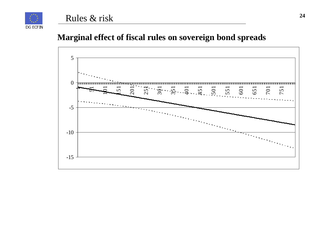

#### Rules & risk

#### **Marginal effect of fiscal rules on sovereign bond spreads**

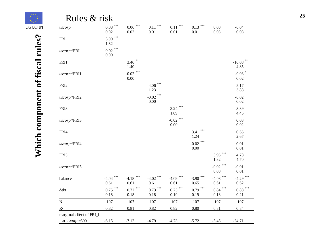| $0.02\,$<br>0.02<br>0.01<br>0.01<br>0.01<br>0.03<br>$3.90$ ***<br><b>FRI</b><br>1.32<br>$-0.02$ <sup>***</sup><br>uscorp*FRI<br>$0.00\,$<br>$3.46$ **<br>FRI1<br>1.40<br>-0.02 $^{\ast\ast\ast}$<br>uscorp*FRI1<br>$0.00\,$<br>FRI <sub>2</sub><br>4.06<br>1.23<br>***<br>$-0.02$<br>$uscorp$ *FRI2<br>$0.00\,$ | $0.08\,$<br>$-10.08$ **<br>4.85<br>$-0.03$ *<br>0.02<br>5.17<br>3.88 |
|-----------------------------------------------------------------------------------------------------------------------------------------------------------------------------------------------------------------------------------------------------------------------------------------------------------------|----------------------------------------------------------------------|
|                                                                                                                                                                                                                                                                                                                 |                                                                      |
|                                                                                                                                                                                                                                                                                                                 |                                                                      |
|                                                                                                                                                                                                                                                                                                                 |                                                                      |
|                                                                                                                                                                                                                                                                                                                 |                                                                      |
|                                                                                                                                                                                                                                                                                                                 |                                                                      |
|                                                                                                                                                                                                                                                                                                                 | $-0.02$<br>0.02                                                      |
| $3.24$ ***<br>FRI3<br>1.09                                                                                                                                                                                                                                                                                      | 3.39<br>4.45                                                         |
| -0.02 $^{\ast\ast\ast}$<br>uscorp*FRI3<br>0.00                                                                                                                                                                                                                                                                  | 0.03<br>0.02                                                         |
| ***<br>3.41<br>FRI4<br>1.24                                                                                                                                                                                                                                                                                     | 0.65<br>2.67                                                         |
| ***<br>$-0.02$<br>uscorp*FRI4<br>$0.00\,$                                                                                                                                                                                                                                                                       | 0.01<br>$0.01\,$                                                     |
| $3.96$ ***<br>FRI5<br>1.32                                                                                                                                                                                                                                                                                      | 4.78<br>4.70                                                         |
| -0.02 $^{\ast\ast\ast}$<br>uscorp*FRI5<br>$0.00\,$                                                                                                                                                                                                                                                              | $-0.01$<br>0.01                                                      |
| ***<br>***<br>$***$<br>***<br>***<br>$-4.08$ ***<br>$-4.18$<br>$-4.02$<br>balance<br>$-4.04$<br>$-4.09$<br>$-3.90$<br>0.65<br>0.61<br>0.61<br>0.61<br>0.61<br>0.61                                                                                                                                              | ***<br>$-4.29$<br>0.62                                               |
| $0.75$ ***<br>$0.73$ ***<br>$0.79$ ***<br>$0.72$ ***<br>$0.73$ ***<br>$0.84$ ***<br>debt<br>$0.18\,$<br>$0.18\,$<br>$0.18\,$<br>0.19<br>0.19<br>$0.18\,$                                                                                                                                                        | $0.88$ ***<br>0.21                                                   |
| 107<br>107<br>107<br>107<br>$107\,$<br>107                                                                                                                                                                                                                                                                      | 107                                                                  |
| 0.82<br>0.81<br>0.82<br>0.82<br>$0.80\,$<br>0.81                                                                                                                                                                                                                                                                | 0.84                                                                 |

Which component of fiscal rules? **Which component of fiscal rules?**

DG ECFIN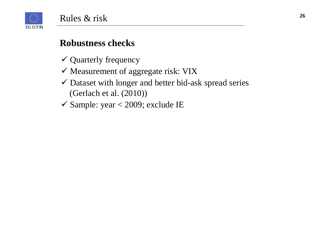

#### **Robustness checks**

- Quarterly frequency
- $\checkmark$  Measurement of aggregate risk: VIX
- Dataset with longer and better bid-ask spread series (Gerlach et al. (2010))
- $\checkmark$  Sample: year < 2009; exclude IE